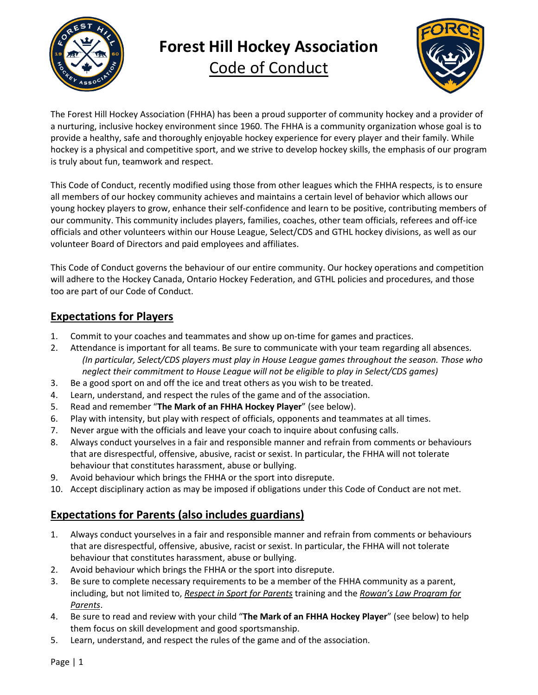

# **Forest Hill Hockey Association**

Code of Conduct



The Forest Hill Hockey Association (FHHA) has been a proud supporter of community hockey and a provider of a nurturing, inclusive hockey environment since 1960. The FHHA is a community organization whose goal is to provide a healthy, safe and thoroughly enjoyable hockey experience for every player and their family. While hockey is a physical and competitive sport, and we strive to develop hockey skills, the emphasis of our program is truly about fun, teamwork and respect.

This Code of Conduct, recently modified using those from other leagues which the FHHA respects, is to ensure all members of our hockey community achieves and maintains a certain level of behavior which allows our young hockey players to grow, enhance their self-confidence and learn to be positive, contributing members of our community. This community includes players, families, coaches, other team officials, referees and off-ice officials and other volunteers within our House League, Select/CDS and GTHL hockey divisions, as well as our volunteer Board of Directors and paid employees and affiliates.

This Code of Conduct governs the behaviour of our entire community. Our hockey operations and competition will adhere to the Hockey Canada, Ontario Hockey Federation, and GTHL policies and procedures, and those too are part of our Code of Conduct.

## **Expectations for Players**

- 1. Commit to your coaches and teammates and show up on-time for games and practices.
- 2. Attendance is important for all teams. Be sure to communicate with your team regarding all absences. *(In particular, Select/CDS players must play in House League games throughout the season. Those who neglect their commitment to House League will not be eligible to play in Select/CDS games)*
- 3. Be a good sport on and off the ice and treat others as you wish to be treated.
- 4. Learn, understand, and respect the rules of the game and of the association.
- 5. Read and remember "**The Mark of an FHHA Hockey Player**" (see below).
- 6. Play with intensity, but play with respect of officials, opponents and teammates at all times.
- 7. Never argue with the officials and leave your coach to inquire about confusing calls.
- 8. Always conduct yourselves in a fair and responsible manner and refrain from comments or behaviours that are disrespectful, offensive, abusive, racist or sexist. In particular, the FHHA will not tolerate behaviour that constitutes harassment, abuse or bullying.
- 9. Avoid behaviour which brings the FHHA or the sport into disrepute.
- 10. Accept disciplinary action as may be imposed if obligations under this Code of Conduct are not met.

## **Expectations for Parents (also includes guardians)**

- 1. Always conduct yourselves in a fair and responsible manner and refrain from comments or behaviours that are disrespectful, offensive, abusive, racist or sexist. In particular, the FHHA will not tolerate behaviour that constitutes harassment, abuse or bullying.
- 2. Avoid behaviour which brings the FHHA or the sport into disrepute.
- 3. Be sure to complete necessary requirements to be a member of the FHHA community as a parent, including, but not limited to, *Respect in Sport for Parents* training and the *Rowan's Law Program for Parents*.
- 4. Be sure to read and review with your child "**The Mark of an FHHA Hockey Player**" (see below) to help them focus on skill development and good sportsmanship.
- 5. Learn, understand, and respect the rules of the game and of the association.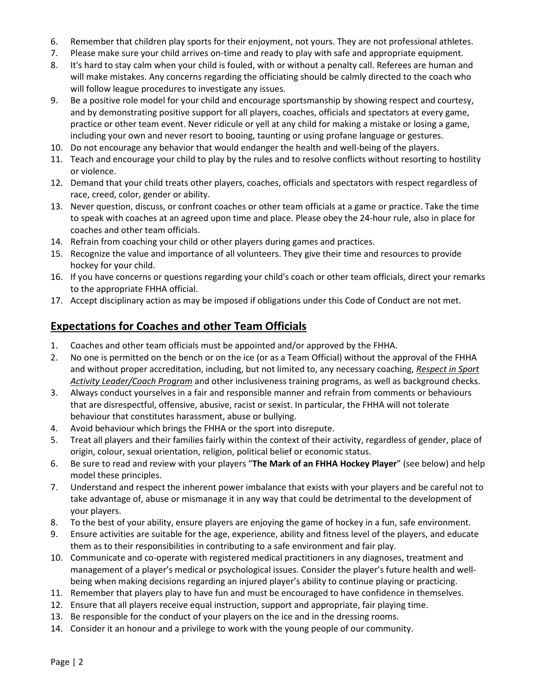- 6. Remember that children play sports for their enjoyment, not yours. They are not professional athletes.
- 7. Please make sure your child arrives on-time and ready to play with safe and appropriate equipment.
- 8. It's hard to stay calm when your child is fouled, with or without a penalty call. Referees are human and will make mistakes. Any concerns regarding the officiating should be calmly directed to the coach who will follow league procedures to investigate any issues.
- 9. Be a positive role model for your child and encourage sportsmanship by showing respect and courtesy, and by demonstrating positive support for all players, coaches, officials and spectators at every game, practice or other team event. Never ridicule or yell at any child for making a mistake or losing a game, including your own and never resort to booing, taunting or using profane language or gestures.
- 10. Do not encourage any behavior that would endanger the health and well-being of the players.
- 11. Teach and encourage your child to play by the rules and to resolve conflicts without resorting to hostility or violence.
- 12. Demand that your child treats other players, coaches, officials and spectators with respect regardless of race, creed, color, gender or ability.
- 13. Never question, discuss, or confront coaches or other team officials at a game or practice. Take the time to speak with coaches at an agreed upon time and place. Please obey the 24-hour rule, also in place for coaches and other team officials.
- 14. Refrain from coaching your child or other players during games and practices.
- 15. Recognize the value and importance of all volunteers. They give their time and resources to provide hockey for your child.
- 16. If you have concerns or questions regarding your child's coach or other team officials, direct your remarks to the appropriate FHHA official.
- 17. Accept disciplinary action as may be imposed if obligations under this Code of Conduct are not met.

### **Expectations for Coaches and other Team Officials**

- 1. Coaches and other team officials must be appointed and/or approved by the FHHA.
- 2. No one is permitted on the bench or on the ice (or as a Team Official) without the approval of the FHHA and without proper accreditation, including, but not limited to, any necessary coaching, *Respect in Sport Activity Leader/Coach Program* and other inclusiveness training programs, as well as background checks.
- 3. Always conduct yourselves in a fair and responsible manner and refrain from comments or behaviours that are disrespectful, offensive, abusive, racist or sexist. In particular, the FHHA will not tolerate behaviour that constitutes harassment, abuse or bullying.
- 4. Avoid behaviour which brings the FHHA or the sport into disrepute.
- 5. Treat all players and their families fairly within the context of their activity, regardless of gender, place of origin, colour, sexual orientation, religion, political belief or economic status.
- 6. Be sure to read and review with your players "**The Mark of an FHHA Hockey Player**" (see below) and help model these principles.
- 7. Understand and respect the inherent power imbalance that exists with your players and be careful not to take advantage of, abuse or mismanage it in any way that could be detrimental to the development of your players.
- 8. To the best of your ability, ensure players are enjoying the game of hockey in a fun, safe environment.
- 9. Ensure activities are suitable for the age, experience, ability and fitness level of the players, and educate them as to their responsibilities in contributing to a safe environment and fair play.
- 10. Communicate and co-operate with registered medical practitioners in any diagnoses, treatment and management of a player's medical or psychological issues. Consider the player's future health and wellbeing when making decisions regarding an injured player's ability to continue playing or practicing.
- 11. Remember that players play to have fun and must be encouraged to have confidence in themselves.
- 12. Ensure that all players receive equal instruction, support and appropriate, fair playing time.
- 13. Be responsible for the conduct of your players on the ice and in the dressing rooms.
- 14. Consider it an honour and a privilege to work with the young people of our community.